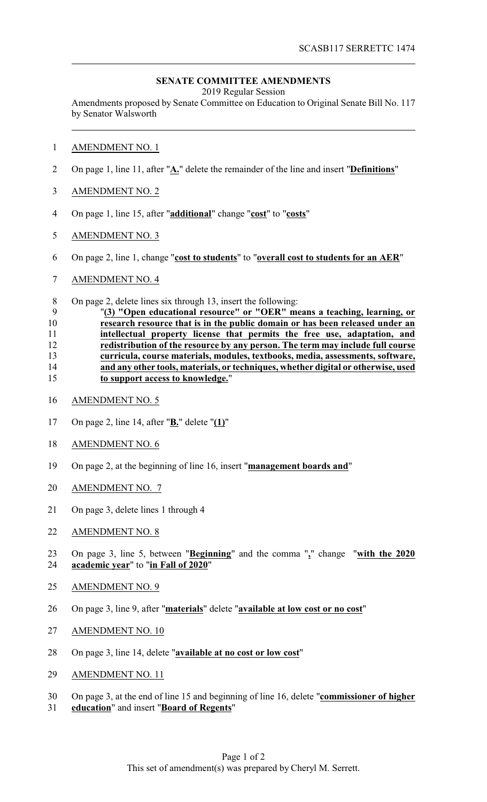## **SENATE COMMITTEE AMENDMENTS**

2019 Regular Session

Amendments proposed by Senate Committee on Education to Original Senate Bill No. 117 by Senator Walsworth

- AMENDMENT NO. 1
- On page 1, line 11, after "**A.**" delete the remainder of the line and insert "**Definitions**"
- AMENDMENT NO. 2
- On page 1, line 15, after "**additional**" change "**cost**" to "**costs**"
- AMENDMENT NO. 3
- On page 2, line 1, change "**cost to students**" to "**overall cost to students for an AER**"
- AMENDMENT NO. 4
- On page 2, delete lines six through 13, insert the following:

## "**(3) "Open educational resource" or "OER" means a teaching, learning, or research resource that is in the public domain or has been released under an intellectual property license that permits the free use, adaptation, and redistribution of the resource by any person. The term may include full course curricula, course materials, modules, textbooks, media, assessments, software, and any other tools, materials, or techniques, whether digital or otherwise, used to support access to knowledge.**"

- AMENDMENT NO. 5
- On page 2, line 14, after "**B.**" delete "**(1)**"
- AMENDMENT NO. 6
- On page 2, at the beginning of line 16, insert "**management boards and**"
- AMENDMENT NO. 7
- On page 3, delete lines 1 through 4
- AMENDMENT NO. 8
- On page 3, line 5, between "**Beginning**" and the comma "**,**" change "**with the 2020 academic year**" to "**in Fall of 2020**"
- AMENDMENT NO. 9
- On page 3, line 9, after "**materials**" delete "**available at low cost or no cost**"
- AMENDMENT NO. 10
- On page 3, line 14, delete "**available at no cost or low cost**"
- AMENDMENT NO. 11
- On page 3, at the end of line 15 and beginning of line 16, delete "**commissioner of higher**
- **education**" and insert "**Board of Regents**"